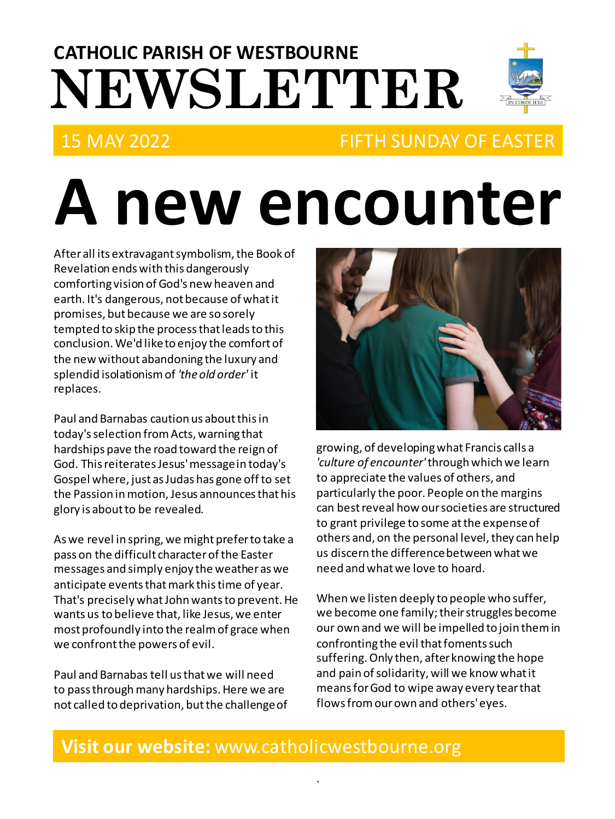# **NEWSLETTER CATHOLIC PARISH OF WESTBOURNE**



## 15 MAY 2022 FIFTH SUNDAY OF EASTER

# **A new encounter**

After all its extravagant symbolism, the Book of Revelation ends with this dangerously comforting vision of God's new heaven and earth. It's dangerous, not because of what it promises, but because we are so sorely tempted to skip the process that leads to this conclusion. We'd like to enjoy the comfort of the new without abandoning the luxury and splendid isolationism of *'the old order'* it replaces.

Paul and Barnabas caution us about this in today's selection from Acts, warning that hardships pave the road toward the reign of God. This reiterates Jesus' message in today's Gospel where, just as Judas has gone off to set the Passion in motion, Jesus announces that his glory is about to be revealed.

As we revel in spring, we might prefer to take a pass on the difficult character of the Easter messages and simply enjoy the weather as we anticipate events that mark this time of year. That's precisely what John wants to prevent. He wants us to believe that, like Jesus, we enter most profoundly into the realm of grace when we confront the powers of evil.

Paul and Barnabas tell us that we will need to pass through many hardships. Here we are not called to deprivation, but the challenge of



growing, of developing what Francis calls a *'culture of encounter'*through which we learn to appreciate the values of others, and particularly the poor. People on the margins can best reveal how our societies are structured to grant privilege to some at the expense of others and, on the personal level, they can help us discern the difference between what we need and what we love to hoard.

When we listen deeply to people who suffer, we become one family; their struggles become our own and we will be impelled to join them in confronting the evil that foments such suffering. Only then, after knowing the hope and pain of solidarity, will we know what it means for God to wipe away every tear that flows from our own and others' eyes.

### **Visit our website:** www.catholicwestbourne.org

.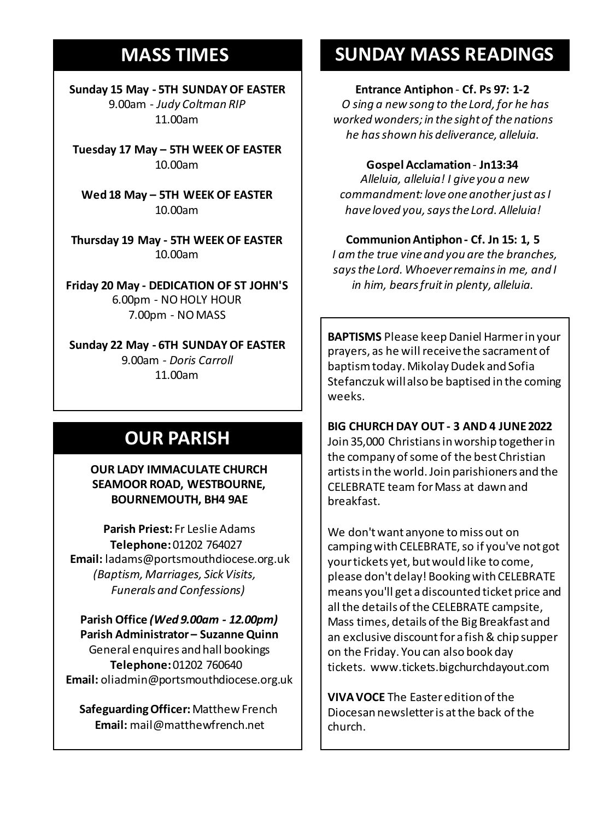## **MASS TIMES**

**Sunday 15 May - 5TH SUNDAY OF EASTER** 9.00am - *Judy Coltman RIP* 11.00am

**Tuesday 17 May – 5TH WEEK OF EASTER** 10.00am

**Sunday 11th 9am:** *The Parish* **Wed 18 May – 5TH WEEK OF EASTER 11am** *Tim Mc Cann* 10.00am

**Wednesday 14th** *Repose of the souls of Bernard Charles and Elsie May Pratt* **Thursday 19 May - 5TH WEEK OF EASTER Saturday 16th** *Rosemarie Schofield RIP* 10.00am

**Sunday 18th 11am** *The Parish*  **Friday 20 May - DEDICATION OF ST JOHN'S** 6.00pm - NO HOLY HOUR 7.00pm - NO MASS

**Sunday 22 May - 6TH SUNDAY OF EASTER** 9.00am - *Doris Carroll* 11.00am

## **OUR PARISH**

**OUR LADY IMMACULATE CHURCH SEAMOOR ROAD, WESTBOURNE, BOURNEMOUTH, BH4 9AE**

**Parish Priest:** Fr Leslie Adams **Telephone:**01202 764027 **Email:** ladams@portsmouthdiocese.org.uk *(Baptism, Marriages, Sick Visits, Funerals and Confessions)*

**Parish Office** *(Wed 9.00am - 12.00pm)* **Parish Administrator – Suzanne Quinn** General enquires andhall bookings **Telephone:**01202 760640 **Email:** oliadmin@portsmouthdiocese.org.uk

**Safeguarding Officer:**Matthew French **Email:** mail@matthewfrench.net

## **SUNDAY MASS READINGS**

#### **Entrance Antiphon** - **Cf. Ps 97: 1-2**

*O sing a new song to the Lord, for he has worked wonders; in the sight of the nations he has shown his deliverance, alleluia.*

**Gospel Acclamation**- **Jn13:34**

*Alleluia, alleluia! I give you a new commandment: love one another just as I have loved you, says the Lord. Alleluia!* 

#### **Communion Antiphon - Cf. Jn 15: 1, 5**

*I am the true vine and you are the branches, says the Lord. Whoever remains in me, and I in him, bears fruit in plenty, alleluia.*

**BAPTISMS** Please keep Daniel Harmer in your prayers, as he will receive the sacrament of baptism today. Mikolay Dudek and Sofia Stefanczukwill also be baptised in the coming weeks.

**BIG CHURCH DAY OUT - 3 AND 4 JUNE 2022** Join 35,000 Christians in worship together in the company of some of the best Christian artists in the world. Join parishioners and the CELEBRATE team for Mass at dawn and breakfast.

We don't want anyone to miss out on camping with CELEBRATE, so if you've not got your tickets yet, but would like to come, please don't delay! Booking with CELEBRATE means you'll get a discounted ticket price and all the details of the CELEBRATE campsite, Mass times, details of the Big Breakfast and an exclusive discount for a fish & chip supper on the Friday. You can also book day tickets. www.tickets.bigchurchdayout.com

**VIVA VOCE** The Easter edition of the Diocesan newsletter is at the back of the church.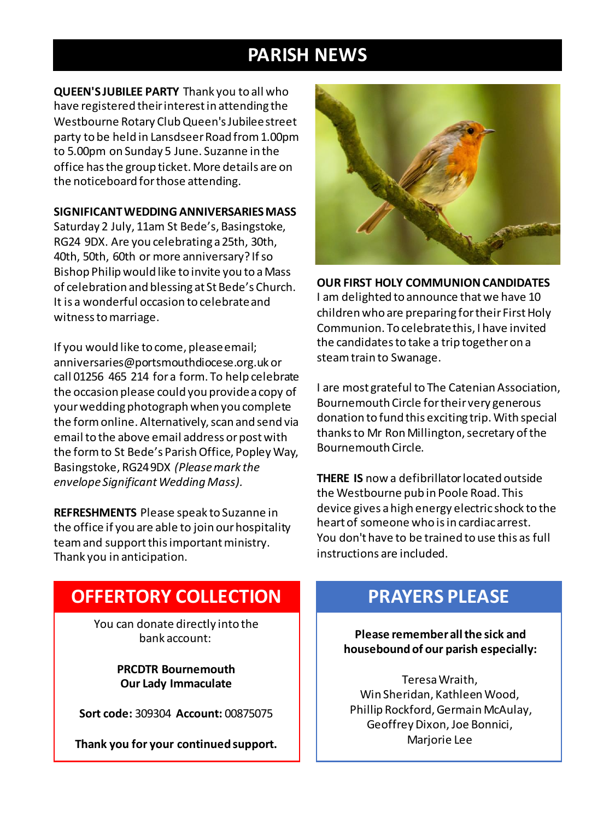## **PARISH NEWS**

**QUEEN'S JUBILEE PARTY** Thank you to all who have registered their interest in attending the Westbourne Rotary Club Queen's Jubilee street party to be held in LansdseerRoad from 1.00pm to 5.00pm on Sunday 5 June. Suzanne in the office has the group ticket. More details are on the noticeboard for those attending.

#### **SIGNIFICANT WEDDING ANNIVERSARIES MASS**

Saturday 2 July, 11am St Bede's, Basingstoke, RG24 9DX. Are you celebrating a 25th, 30th, 40th, 50th, 60th or more anniversary? If so Bishop Philip would like to invite you to a Mass of celebration and blessing at St Bede's Church. It is a wonderful occasion to celebrate and witness to marriage.

If you would like to come, please email; anniversaries@portsmouthdiocese.org.uk or call 01256 465 214 for a form. To help celebrate the occasion please could you provide a copy of your wedding photograph when you complete the form online. Alternatively, scan and send via email to the above email address or post with the form to St Bede's Parish Office, Popley Way, Basingstoke, RG24 9DX *(Please mark the envelope Significant Wedding Mass).*

**REFRESHMENTS** Please speak to Suzanne in the office if you are able to join our hospitality team and support this important ministry. Thank you in anticipation.



**OUR FIRST HOLY COMMUNION CANDIDATES**

I am delighted to announce that we have 10 children who are preparing for their First Holy Communion. To celebrate this, I have invited the candidates to take a trip together on a steam train to Swanage.

I are most grateful to The Catenian Association, Bournemouth Circle for their very generous donation to fund this exciting trip. With special thanks to Mr Ron Millington, secretary of the Bournemouth Circle.

**THERE IS** now a defibrillator located outside the Westbourne pub in Poole Road. This device gives a high energy electric shock to the heart of someone who is in cardiac arrest. You don't have to be trained to use this as full instructions are included.

## **OFFERTORY COLLECTION**

You can donate directly into the bank account:

> **PRCDTR Bournemouth Our Lady Immaculate**

**Sort code:** 309304 **Account:** 00875075

**Thank you for your continued support.**

## **PRAYERS PLEASE**

**Please remember all the sick and housebound of our parish especially:**

Teresa Wraith, Win Sheridan, Kathleen Wood, Phillip Rockford, Germain McAulay, Geoffrey Dixon, Joe Bonnici, Marjorie Lee